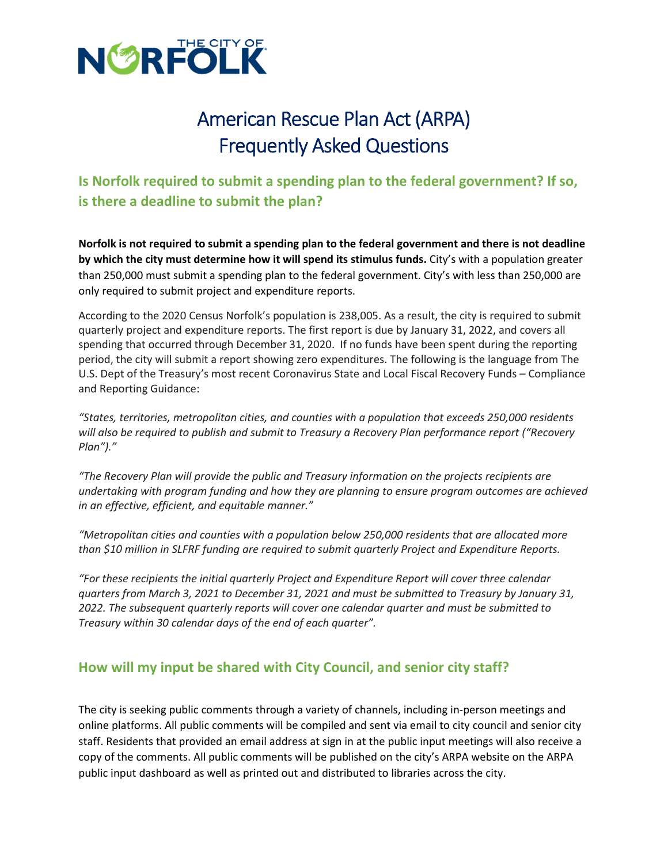

# American Rescue Plan Act (ARPA) Frequently Asked Questions

## **Is Norfolk required to submit a spending plan to the federal government? If so, is there a deadline to submit the plan?**

**Norfolk is not required to submit a spending plan to the federal government and there is not deadline by which the city must determine how it will spend its stimulus funds.** City's with a population greater than 250,000 must submit a spending plan to the federal government. City's with less than 250,000 are only required to submit project and expenditure reports.

According to the 2020 Census Norfolk's population is 238,005. As a result, the city is required to submit quarterly project and expenditure reports. The first report is due by January 31, 2022, and covers all spending that occurred through December 31, 2020. If no funds have been spent during the reporting period, the city will submit a report showing zero expenditures. The following is the language from The U.S. Dept of the Treasury's most recent Coronavirus State and Local Fiscal Recovery Funds – Compliance and Reporting Guidance:

*"States, territories, metropolitan cities, and counties with a population that exceeds 250,000 residents will also be required to publish and submit to Treasury a Recovery Plan performance report ("Recovery Plan")."*

*"The Recovery Plan will provide the public and Treasury information on the projects recipients are undertaking with program funding and how they are planning to ensure program outcomes are achieved in an effective, efficient, and equitable manner."*

*"Metropolitan cities and counties with a population below 250,000 residents that are allocated more than \$10 million in SLFRF funding are required to submit quarterly Project and Expenditure Reports.*

*"For these recipients the initial quarterly Project and Expenditure Report will cover three calendar quarters from March 3, 2021 to December 31, 2021 and must be submitted to Treasury by January 31, 2022. The subsequent quarterly reports will cover one calendar quarter and must be submitted to Treasury within 30 calendar days of the end of each quarter".* 

### **How will my input be shared with City Council, and senior city staff?**

The city is seeking public comments through a variety of channels, including in-person meetings and online platforms. All public comments will be compiled and sent via email to city council and senior city staff. Residents that provided an email address at sign in at the public input meetings will also receive a copy of the comments. All public comments will be published on the city's ARPA website on the ARPA public input dashboard as well as printed out and distributed to libraries across the city.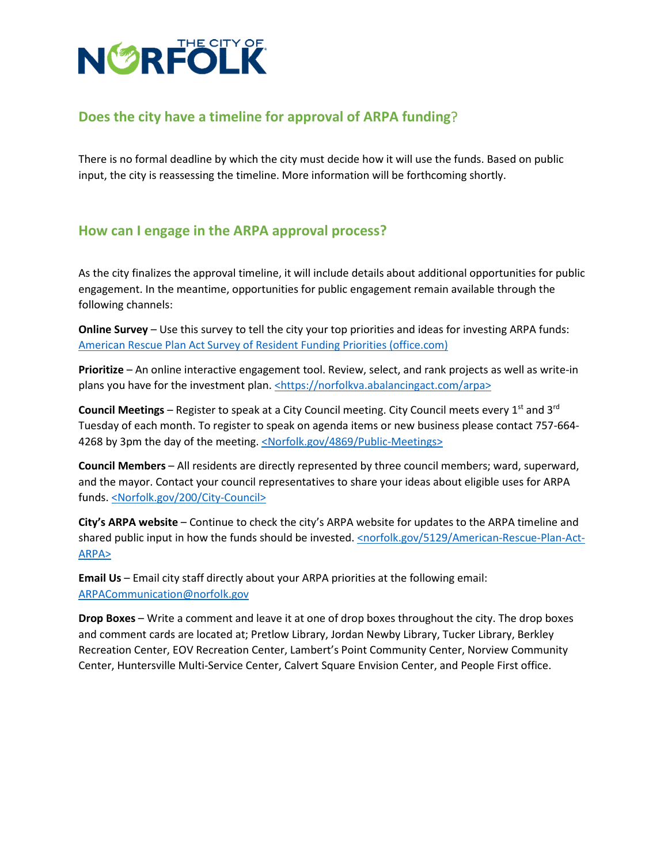

### **Does the city have a timeline for approval of ARPA funding**?

There is no formal deadline by which the city must decide how it will use the funds. Based on public input, the city is reassessing the timeline. More information will be forthcoming shortly.

#### **How can I engage in the ARPA approval process?**

As the city finalizes the approval timeline, it will include details about additional opportunities for public engagement. In the meantime, opportunities for public engagement remain available through the following channels:

**Online Survey** – Use this survey to tell the city your top priorities and ideas for investing ARPA funds: [American Rescue Plan Act Survey of Resident Funding Priorities \(office.com\)](https://forms.office.com/pages/responsepage.aspx?id=VdOGU64v6E-RdLieQIupkTXx_PDUQ4VIlsRpXjDYBf5UQThDUjFNQk9aOU84T0VKVUpZUE5IOVJPUC4u)

**Prioritize** – An online interactive engagement tool. Review, select, and rank projects as well as write-in plans you have for the investment plan. <https://norfolkva.abalancingact.com/arpa>

**Council Meetings** – Register to speak at a City Council meeting. City Council meets every 1<sup>st</sup> and 3<sup>rd</sup> Tuesday of each month. To register to speak on agenda items or new business please contact 757-664- 4268 by 3pm the day of the meeting. [<Norfolk.gov/4869/Public-Meetings>](https://www.norfolk.gov/200/City-Council)

**Council Members** – All residents are directly represented by three council members; ward, superward, and the mayor. Contact your council representatives to share your ideas about eligible uses for ARPA funds. [<Norfolk.gov/200/City-Council>](https://www.norfolk.gov/200/City-Council)

**City's ARPA website** – Continue to check the city's ARPA website for updates to the ARPA timeline and shared public input in how the funds should be invested[. <norfolk.gov/5129/American-Rescue-Plan-Act-](https://www.norfolk.gov/5129/American-Rescue-Plan-Act-ARPA)[ARPA>](https://www.norfolk.gov/5129/American-Rescue-Plan-Act-ARPA) 

**Email Us** – Email city staff directly about your ARPA priorities at the following email: [ARPACommunication@norfolk.gov](mailto:ARPACommunication@norfolk.gov)

**Drop Boxes** – Write a comment and leave it at one of drop boxes throughout the city. The drop boxes and comment cards are located at; Pretlow Library, Jordan Newby Library, Tucker Library, Berkley Recreation Center, EOV Recreation Center, Lambert's Point Community Center, Norview Community Center, Huntersville Multi-Service Center, Calvert Square Envision Center, and People First office.